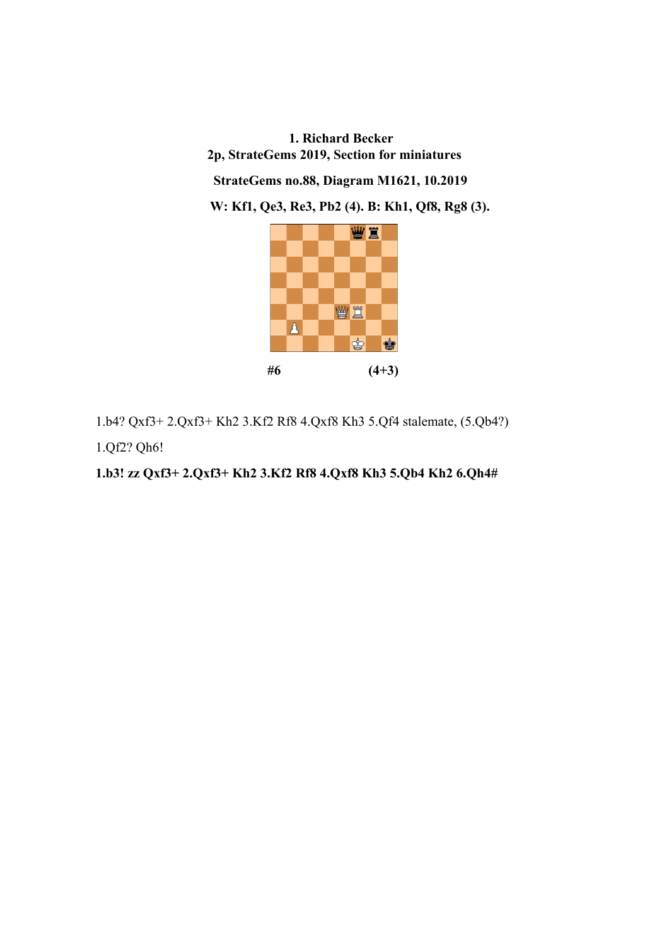**1. Richard Becker 2p, StrateGems 2019, Section for miniatures StrateGems no.88, Diagram M1621, 10.2019 W: Kf1, Qe3, Re3, Pb2 (4). B: Kh1, Qf8, Rg8 (3).** 



1.b4? Qxf3+ 2.Qxf3+ Kh2 3.Kf2 Rf8 4.Qxf8 Kh3 5.Qf4 stalemate, (5.Qb4?)

1.Qf2? Qh6!

**1.b3! zz Qxf3+ 2.Qxf3+ Kh2 3.Kf2 Rf8 4.Qxf8 Kh3 5.Qb4 Kh2 6.Qh4#**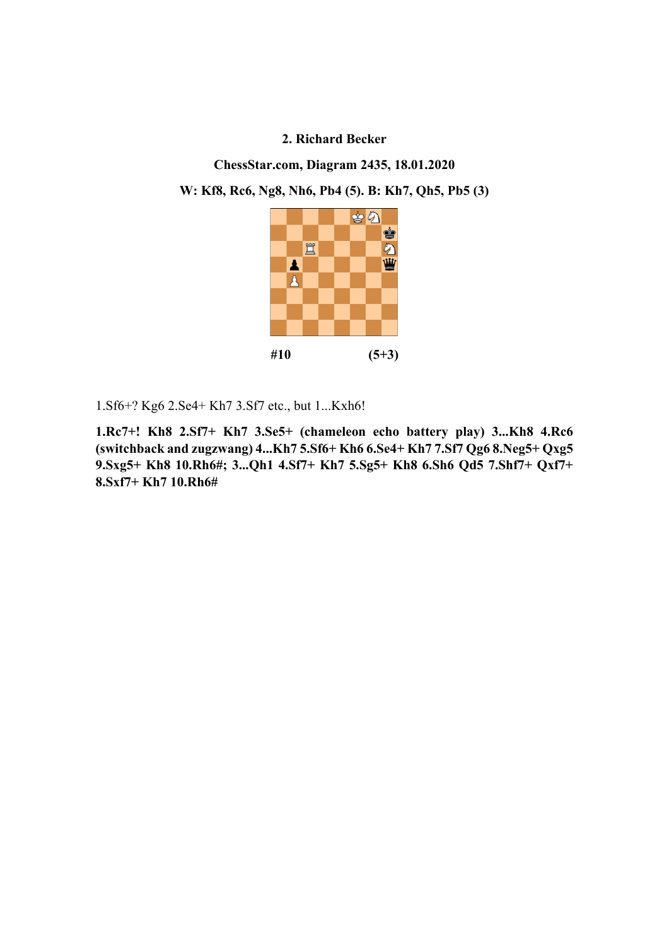**ChessStar.com, Diagram 2435, 18.01.2020** 

**W: Kf8, Rc6, Ng8, Nh6, Pb4 (5). B: Kh7, Qh5, Pb5 (3)** 



1.Sf6+? Kg6 2.Se4+ Kh7 3.Sf7 etc., but 1...Kxh6!

**1.Rc7+! Kh8 2.Sf7+ Kh7 3.Se5+ (chameleon echo battery play) 3...Kh8 4.Rc6 (switchback and zugzwang) 4...Kh7 5.Sf6+ Kh6 6.Se4+ Kh7 7.Sf7 Qg6 8.Neg5+ Qxg5 9.Sxg5+ Kh8 10.Rh6#; 3...Qh1 4.Sf7+ Kh7 5.Sg5+ Kh8 6.Sh6 Qd5 7.Shf7+ Qxf7+ 8.Sxf7+ Kh7 10.Rh6#**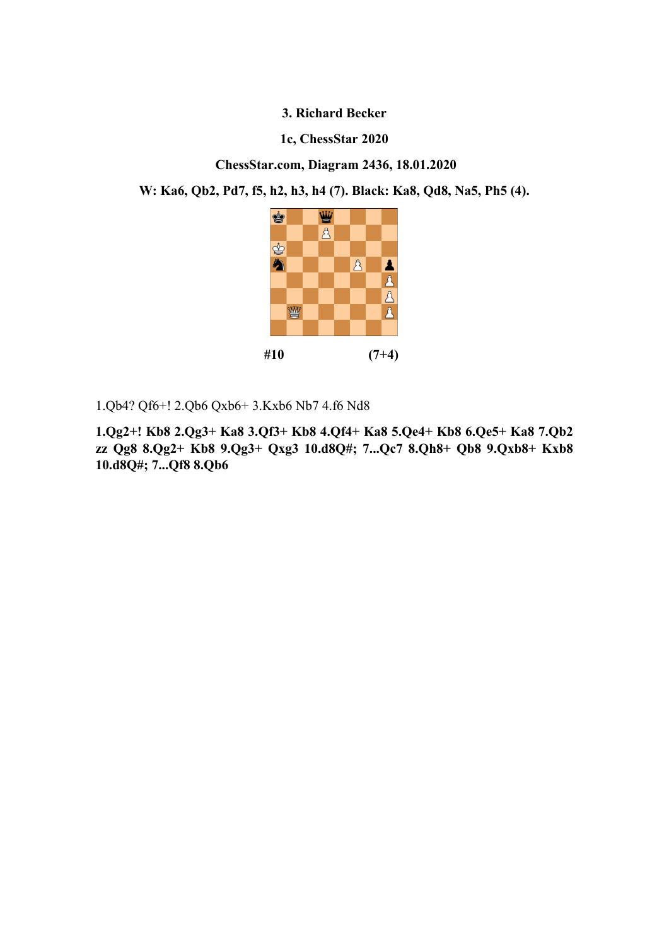### **1c, ChessStar 2020**

 **ChessStar.com, Diagram 2436, 18.01.2020** 

**W: Ka6, Qb2, Pd7, f5, h2, h3, h4 (7). Black: Ka8, Qd8, Na5, Ph5 (4).** 



1.Qb4? Qf6+! 2.Qb6 Qxb6+ 3.Kxb6 Nb7 4.f6 Nd8

**1.Qg2+! Kb8 2.Qg3+ Ka8 3.Qf3+ Kb8 4.Qf4+ Ka8 5.Qe4+ Kb8 6.Qe5+ Ka8 7.Qb2 zz Qg8 8.Qg2+ Kb8 9.Qg3+ Qxg3 10.d8Q#; 7...Qc7 8.Qh8+ Qb8 9.Qxb8+ Kxb8 10.d8Q#; 7...Qf8 8.Qb6**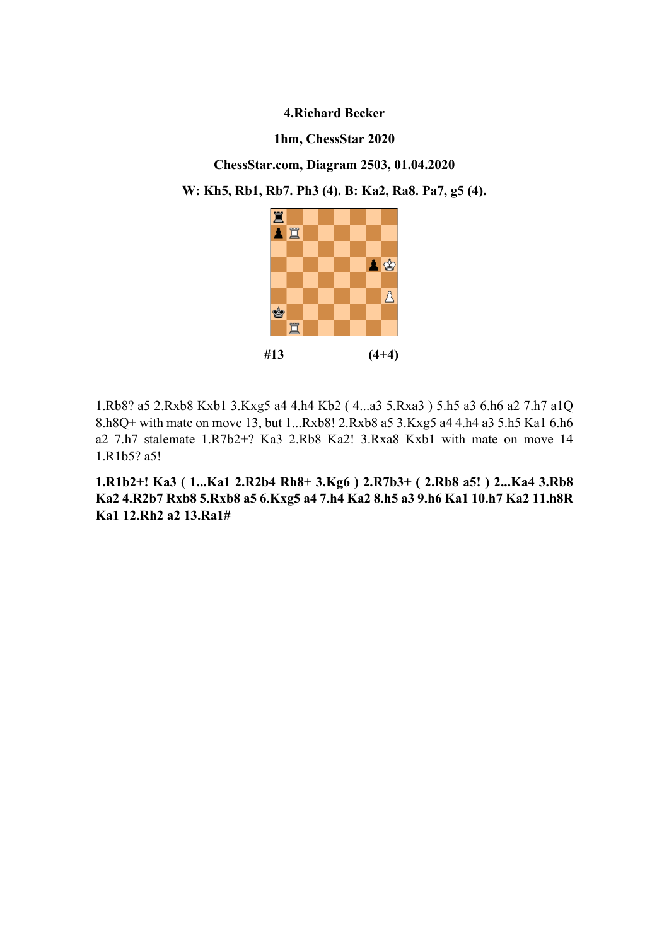### **1hm, ChessStar 2020**

**ChessStar.com, Diagram 2503, 01.04.2020** 

**W: Kh5, Rb1, Rb7. Ph3 (4). B: Ka2, Ra8. Pa7, g5 (4).** 



1.Rb8? a5 2.Rxb8 Kxb1 3.Kxg5 a4 4.h4 Kb2 ( 4...a3 5.Rxa3 ) 5.h5 a3 6.h6 a2 7.h7 a1Q 8.h8Q+ with mate on move 13, but 1...Rxb8! 2.Rxb8 a5 3.Kxg5 a4 4.h4 a3 5.h5 Ka1 6.h6 a2 7.h7 stalemate 1.R7b2+? Ka3 2.Rb8 Ka2! 3.Rxa8 Kxb1 with mate on move 14 1.R1b5? a5!

**1.R1b2+! Ka3 ( 1...Ka1 2.R2b4 Rh8+ 3.Kg6 ) 2.R7b3+ ( 2.Rb8 a5! ) 2...Ka4 3.Rb8 Ka2 4.R2b7 Rxb8 5.Rxb8 a5 6.Kxg5 a4 7.h4 Ka2 8.h5 a3 9.h6 Ka1 10.h7 Ka2 11.h8R Ka1 12.Rh2 a2 13.Ra1#**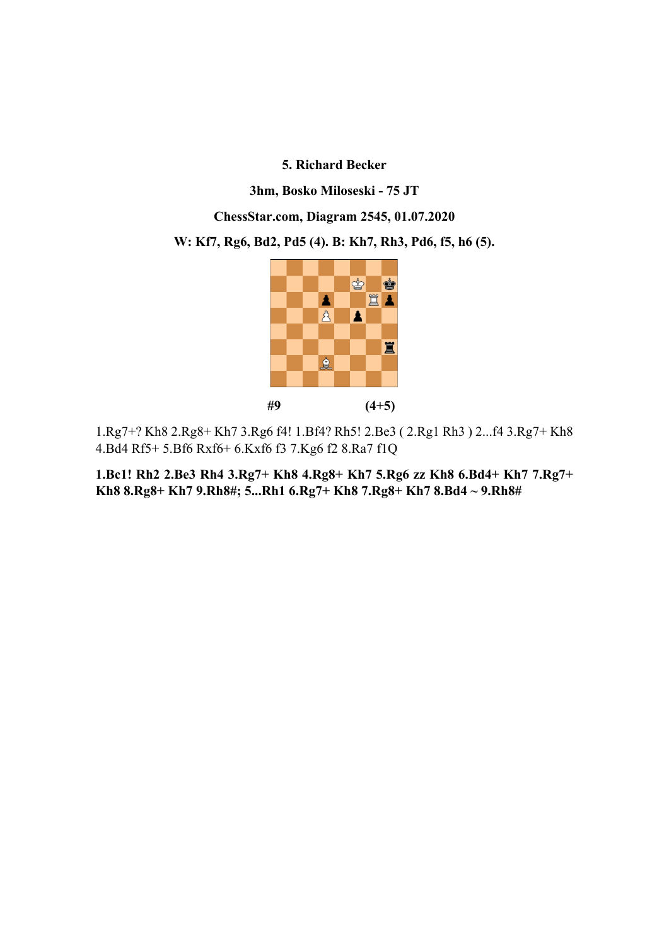**3hm, Bosko Miloseski - 75 JT** 

**ChessStar.com, Diagram 2545, 01.07.2020** 

**W: Kf7, Rg6, Bd2, Pd5 (4). B: Kh7, Rh3, Pd6, f5, h6 (5).** 



1.Rg7+? Kh8 2.Rg8+ Kh7 3.Rg6 f4! 1.Bf4? Rh5! 2.Be3 ( 2.Rg1 Rh3 ) 2...f4 3.Rg7+ Kh8 4.Bd4 Rf5+ 5.Bf6 Rxf6+ 6.Kxf6 f3 7.Kg6 f2 8.Ra7 f1Q

**1.Bc1! Rh2 2.Be3 Rh4 3.Rg7+ Kh8 4.Rg8+ Kh7 5.Rg6 zz Kh8 6.Bd4+ Kh7 7.Rg7+ Kh8 8.Rg8+ Kh7 9.Rh8#; 5...Rh1 6.Rg7+ Kh8 7.Rg8+ Kh7 8.Bd4 ~ 9.Rh8#**